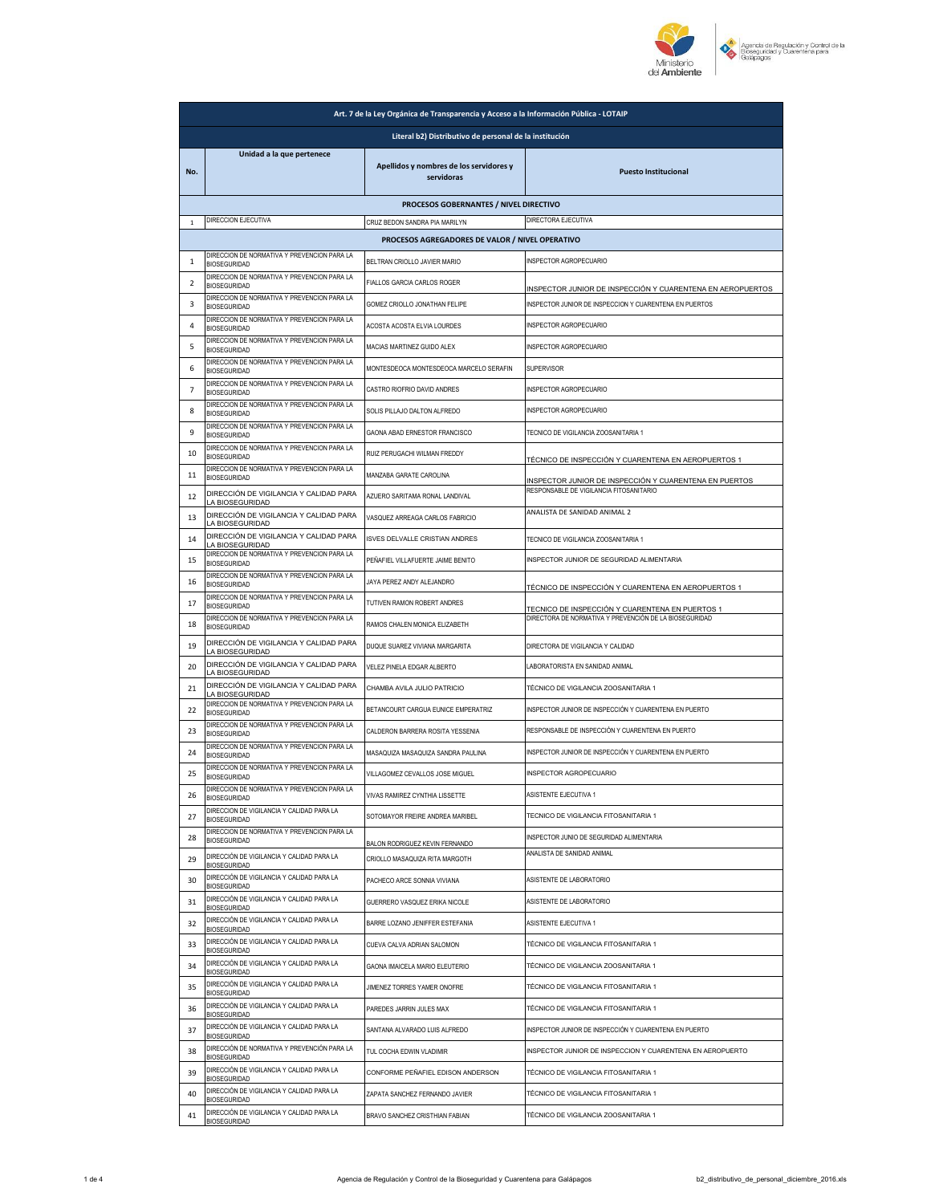

|                                                        | Art. 7 de la Ley Orgánica de Transparencia y Acceso a la Información Pública - LOTAIP |                                                       |                                                                                                           |  |
|--------------------------------------------------------|---------------------------------------------------------------------------------------|-------------------------------------------------------|-----------------------------------------------------------------------------------------------------------|--|
| Literal b2) Distributivo de personal de la institución |                                                                                       |                                                       |                                                                                                           |  |
| No.                                                    | Unidad a la que pertenece                                                             | Apellidos y nombres de los servidores y<br>servidoras | <b>Puesto Institucional</b>                                                                               |  |
|                                                        |                                                                                       | PROCESOS GOBERNANTES / NIVEL DIRECTIVO                |                                                                                                           |  |
| $\mathbf 1$                                            | DIRECCION EJECUTIVA                                                                   | CRUZ BEDON SANDRA PIA MARILYN                         | DIRECTORA EJECUTIVA                                                                                       |  |
|                                                        | DIRECCION DE NORMATIVA Y PREVENCION PARA LA                                           | PROCESOS AGREGADORES DE VALOR / NIVEL OPERATIVO       |                                                                                                           |  |
| $\mathbf{1}$                                           | <b>BIOSEGURIDAD</b>                                                                   | BELTRAN CRIOLLO JAVIER MARIO                          | INSPECTOR AGROPECUARIO                                                                                    |  |
| $\overline{2}$                                         | DIRECCION DE NORMATIVA Y PREVENCION PARA LA<br><b>BIOSEGURIDAD</b>                    | FIALLOS GARCIA CARLOS ROGER                           | INSPECTOR JUNIOR DE INSPECCIÓN Y CUARENTENA EN AEROPUERTOS                                                |  |
| 3                                                      | DIRECCION DE NORMATIVA Y PREVENCION PARA LA<br><b>BIOSEGURIDAD</b>                    | GOMEZ CRIOLLO JONATHAN FELIPE                         | INSPECTOR JUNIOR DE INSPECCION Y CUARENTENA EN PUERTOS                                                    |  |
| 4                                                      | DIRECCION DE NORMATIVA Y PREVENCION PARA LA<br><b>BIOSEGURIDAD</b>                    | ACOSTA ACOSTA ELVIA LOURDES                           | INSPECTOR AGROPECUARIO                                                                                    |  |
| 5                                                      | DIRECCION DE NORMATIVA Y PREVENCION PARA LA<br><b>BIOSEGURIDAD</b>                    | MACIAS MARTINEZ GUIDO ALEX                            | INSPECTOR AGROPECUARIO                                                                                    |  |
| 6                                                      | DIRECCION DE NORMATIVA Y PREVENCION PARA LA<br><b>BIOSEGURIDAD</b>                    | MONTESDEOCA MONTESDEOCA MARCELO SERAFIN               | <b>SUPERVISOR</b>                                                                                         |  |
| 7                                                      | DIRECCION DE NORMATIVA Y PREVENCION PARA LA<br><b>BIOSEGURIDAD</b>                    | CASTRO RIOFRIO DAVID ANDRES                           | INSPECTOR AGROPECUARIO                                                                                    |  |
| 8                                                      | DIRECCION DE NORMATIVA Y PREVENCION PARA LA<br><b>BIOSEGURIDAD</b>                    | SOLIS PILLAJO DALTON ALFREDO                          | INSPECTOR AGROPECUARIO                                                                                    |  |
| 9                                                      | DIRECCION DE NORMATIVA Y PREVENCION PARA LA<br><b>BIOSEGURIDAD</b>                    | GAONA ABAD ERNESTOR FRANCISCO                         | TECNICO DE VIGILANCIA ZOOSANITARIA 1                                                                      |  |
| 10                                                     | DIRECCION DE NORMATIVA Y PREVENCION PARA LA<br><b>BIOSEGURIDAD</b>                    | RUIZ PERUGACHI WILMAN FREDDY                          | TÉCNICO DE INSPECCIÓN Y CUARENTENA EN AEROPUERTOS 1                                                       |  |
| 11                                                     | DIRECCION DE NORMATIVA Y PREVENCION PARA LA<br><b>BIOSEGURIDAD</b>                    | MANZABA GARATE CAROLINA                               | INSPECTOR JUNIOR DE INSPECCIÓN Y CUARENTENA EN PUERTOS                                                    |  |
| 12                                                     | DIRECCIÓN DE VIGILANCIA Y CALIDAD PARA<br>LA BIOSEGURIDAD                             | AZUERO SARITAMA RONAL LANDIVAL                        | RESPONSABLE DE VIGILANCIA FITOSANITARIO                                                                   |  |
| 13                                                     | DIRECCIÓN DE VIGILANCIA Y CALIDAD PARA<br>LA BIOSEGURIDAD                             | VASQUEZ ARREAGA CARLOS FABRICIO                       | ANALISTA DE SANIDAD ANIMAL 2                                                                              |  |
| 14                                                     | DIRECCIÓN DE VIGILANCIA Y CALIDAD PARA<br>LA BIOSEGURIDAD                             | ISVES DELVALLE CRISTIAN ANDRES                        | TECNICO DE VIGILANCIA ZOOSANITARIA 1                                                                      |  |
| 15                                                     | DIRECCION DE NORMATIVA Y PREVENCION PARA LA<br><b>BIOSEGURIDAD</b>                    | PEÑAFIEL VILLAFUERTE JAIME BENITO                     | INSPECTOR JUNIOR DE SEGURIDAD ALIMENTARIA                                                                 |  |
| 16                                                     | DIRECCION DE NORMATIVA Y PREVENCION PARA LA<br><b>BIOSEGURIDAD</b>                    | JAYA PEREZ ANDY ALEJANDRO                             | TÉCNICO DE INSPECCIÓN Y CUARENTENA EN AEROPUERTOS 1                                                       |  |
| 17                                                     | DIRECCION DE NORMATIVA Y PREVENCION PARA LA<br><b>BIOSEGURIDAD</b>                    | TUTIVEN RAMON ROBERT ANDRES                           |                                                                                                           |  |
| 18                                                     | DIRECCION DE NORMATIVA Y PREVENCION PARA LA<br><b>BIOSEGURIDAD</b>                    | RAMOS CHALEN MONICA ELIZABETH                         | TECNICO DE INSPECCIÓN Y CUARENTENA EN PUERTOS 1<br>DIRECTORA DE NORMATIVA Y PREVENCIÓN DE LA BIOSEGURIDAD |  |
| 19                                                     | DIRECCIÓN DE VIGILANCIA Y CALIDAD PARA<br>LA BIOSEGURIDAD                             | DUQUE SUAREZ VIVIANA MARGARITA                        | DIRECTORA DE VIGILANCIA Y CALIDAD                                                                         |  |
| 20                                                     | DIRECCIÓN DE VIGILANCIA Y CALIDAD PARA<br>LA BIOSEGURIDAD                             | VELEZ PINELA EDGAR ALBERTO                            | LABORATORISTA EN SANIDAD ANIMAL                                                                           |  |
| 21                                                     | DIRECCIÓN DE VIGILANCIA Y CALIDAD PARA<br>LA BIOSEGURIDAD                             | CHAMBA AVILA JULIO PATRICIO                           | TÉCNICO DE VIGILANCIA ZOOSANITARIA 1                                                                      |  |
| 22                                                     | DIRECCION DE NORMATIVA Y PREVENCION PARA LA<br><b>BIOSEGURIDAD</b>                    | BETANCOURT CARGUA EUNICE EMPERATRIZ                   | INSPECTOR JUNIOR DE INSPECCIÓN Y CUARENTENA EN PUERTO                                                     |  |
| 23                                                     | DIRECCION DE NORMATIVA Y PREVENCION PARA LA<br><b>BIOSEGURIDAD</b>                    | CALDERON BARRERA ROSITA YESSENIA                      | RESPONSABLE DE INSPECCIÓN Y CUARENTENA EN PUERTO                                                          |  |
| 24                                                     | DIRECCION DE NORMATIVA Y PREVENCION PARA LA<br><b>BIOSEGURIDAD</b>                    | MASAQUIZA MASAQUIZA SANDRA PAULINA                    | INSPECTOR JUNIOR DE INSPECCIÓN Y CUARENTENA EN PUERTO                                                     |  |
| 25                                                     | DIRECCION DE NORMATIVA Y PREVENCION PARA LA<br><b>BIOSEGURIDAD</b>                    | VILLAGOMEZ CEVALLOS JOSE MIGUEL                       | <b>INSPECTOR AGROPECUARIO</b>                                                                             |  |
| 26                                                     | DIRECCION DE NORMATIVA Y PREVENCION PARA LA<br><b>BIOSEGURIDAD</b>                    | VIVAS RAMIREZ CYNTHIA LISSETTE                        | ASISTENTE EJECUTIVA 1                                                                                     |  |
| 27                                                     | DIRECCION DE VIGILANCIA Y CALIDAD PARA LA<br><b>BIOSEGURIDAD</b>                      | SOTOMAYOR FREIRE ANDREA MARIBEL                       | TECNICO DE VIGILANCIA FITOSANITARIA 1                                                                     |  |
| 28                                                     | DIRECCION DE NORMATIVA Y PREVENCION PARA LA<br><b>BIOSEGURIDAD</b>                    | BALON RODRIGUEZ KEVIN FERNANDO                        | INSPECTOR JUNIO DE SEGURIDAD ALIMENTARIA                                                                  |  |
| 29                                                     | DIRECCIÓN DE VIGILANCIA Y CALIDAD PARA LA<br><b>BIOSEGURIDAD</b>                      | CRIOLLO MASAQUIZA RITA MARGOTH                        | ANALISTA DE SANIDAD ANIMAL                                                                                |  |
| 30                                                     | DIRECCIÓN DE VIGILANCIA Y CALIDAD PARA LA<br><b>BIOSEGURIDAD</b>                      | PACHECO ARCE SONNIA VIVIANA                           | ASISTENTE DE LABORATORIO                                                                                  |  |
| 31                                                     | DIRECCIÓN DE VIGILANCIA Y CALIDAD PARA LA<br><b>BIOSEGURIDAD</b>                      | GUERRERO VASQUEZ ERIKA NICOLE                         | ASISTENTE DE LABORATORIO                                                                                  |  |
| 32                                                     | DIRECCIÓN DE VIGILANCIA Y CALIDAD PARA LA<br><b>BIOSEGURIDAD</b>                      | BARRE LOZANO JENIFFER ESTEFANIA                       | <b>ASISTENTE EJECUTIVA 1</b>                                                                              |  |
| 33                                                     | DIRECCIÓN DE VIGILANCIA Y CALIDAD PARA LA<br><b>BIOSEGURIDAD</b>                      | CUEVA CALVA ADRIAN SALOMON                            | TÉCNICO DE VIGILANCIA FITOSANITARIA 1                                                                     |  |
| 34                                                     | DIRECCIÓN DE VIGILANCIA Y CALIDAD PARA LA                                             | GAONA IMAICELA MARIO ELEUTERIO                        | TÉCNICO DE VIGILANCIA ZOOSANITARIA 1                                                                      |  |
| 35                                                     | <b>BIOSEGURIDAD</b><br>DIRECCIÓN DE VIGILANCIA Y CALIDAD PARA LA                      | JIMENEZ TORRES YAMER ONOFRE                           | TÉCNICO DE VIGILANCIA FITOSANITARIA 1                                                                     |  |
| 36                                                     | <b>BIOSEGURIDAD</b><br>DIRECCIÓN DE VIGILANCIA Y CALIDAD PARA LA                      | PAREDES JARRIN JULES MAX                              | TÉCNICO DE VIGILANCIA FITOSANITARIA 1                                                                     |  |
| 37                                                     | <b>BIOSEGURIDAD</b><br>DIRECCIÓN DE VIGILANCIA Y CALIDAD PARA LA                      | SANTANA ALVARADO LUIS ALFREDO                         | INSPECTOR JUNIOR DE INSPECCIÓN Y CUARENTENA EN PUERTO                                                     |  |
| 38                                                     | <b>BIOSEGURIDAD</b><br>DIRECCIÓN DE NORMATIVA Y PREVENCIÓN PARA LA                    | TUL COCHA EDWIN VLADIMIR                              | INSPECTOR JUNIOR DE INSPECCION Y CUARENTENA EN AEROPUERTO                                                 |  |
| 39                                                     | <b>BIOSEGURIDAD</b><br>DIRECCIÓN DE VIGILANCIA Y CALIDAD PARA LA                      | CONFORME PEÑAFIEL EDISON ANDERSON                     | TÉCNICO DE VIGILANCIA FITOSANITARIA 1                                                                     |  |
| 40                                                     | <b>BIOSEGURIDAD</b><br>DIRECCIÓN DE VIGILANCIA Y CALIDAD PARA LA                      | ZAPATA SANCHEZ FERNANDO JAVIER                        | TÉCNICO DE VIGILANCIA FITOSANITARIA 1                                                                     |  |
| 41                                                     | <b>BIOSEGURIDAD</b><br>DIRECCIÓN DE VIGILANCIA Y CALIDAD PARA LA                      | BRAVO SANCHEZ CRISTHIAN FABIAN                        | TÉCNICO DE VIGILANCIA ZOOSANITARIA 1                                                                      |  |
|                                                        | <b>BIOSEGURIDAD</b>                                                                   |                                                       |                                                                                                           |  |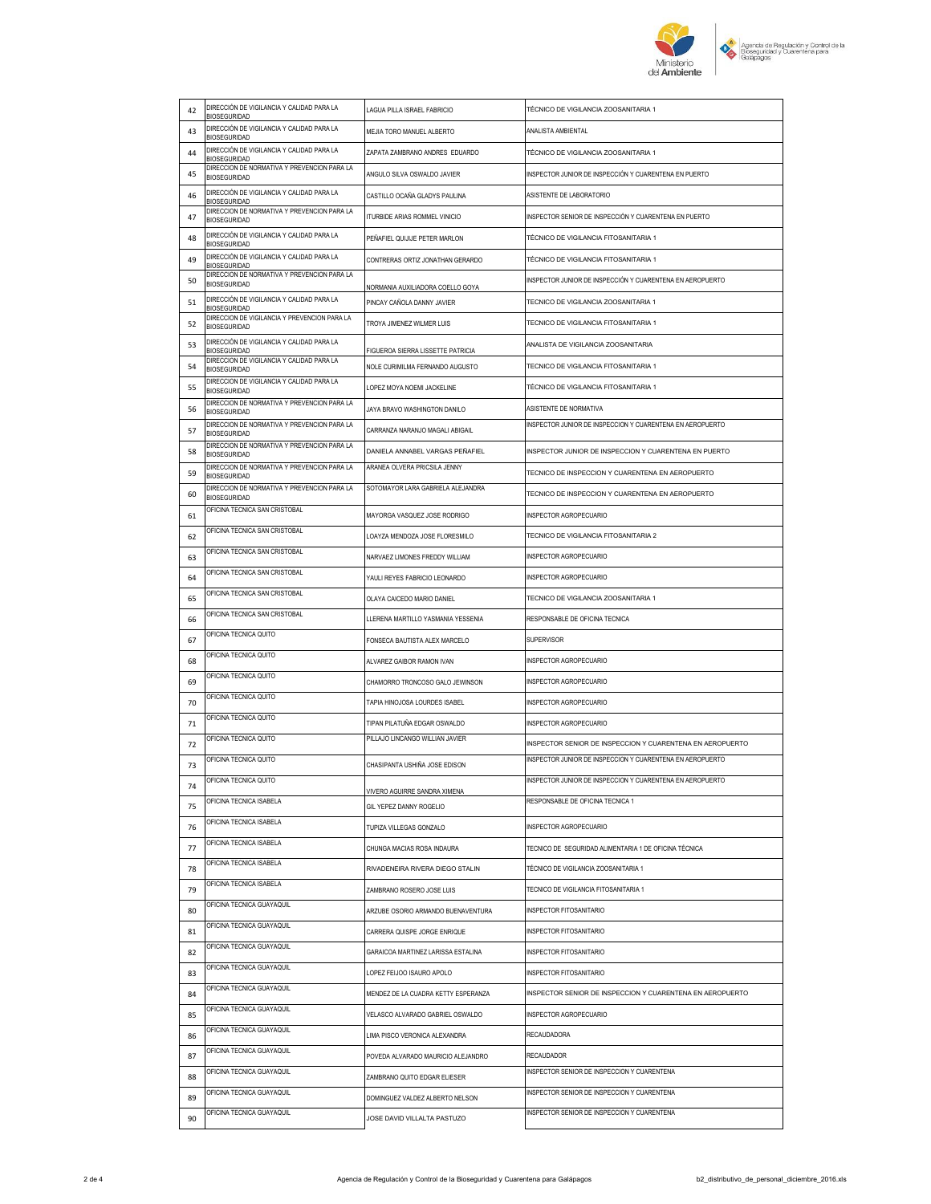

| 42 | DIRECCIÓN DE VIGILANCIA Y CALIDAD PARA LA<br><b>BIOSEGURIDAD</b>                           | LAGUA PILLA ISRAEL FABRICIO                                          | TÉCNICO DE VIGILANCIA ZOOSANITARIA 1                                                |
|----|--------------------------------------------------------------------------------------------|----------------------------------------------------------------------|-------------------------------------------------------------------------------------|
| 43 | DIRECCIÓN DE VIGILANCIA Y CALIDAD PARA LA<br><b>BIOSEGURIDAD</b>                           | MEJIA TORO MANUEL ALBERTO                                            | ANALISTA AMBIENTAL                                                                  |
| 44 | DIRECCIÓN DE VIGILANCIA Y CALIDAD PARA LA<br><b>BIOSEGURIDAD</b>                           | ZAPATA ZAMBRANO ANDRES EDUARDO                                       | TÉCNICO DE VIGILANCIA ZOOSANITARIA 1                                                |
| 45 | DIRECCION DE NORMATIVA Y PREVENCION PARA LA<br><b>BIOSEGURIDAD</b>                         | ANGULO SILVA OSWALDO JAVIER                                          | INSPECTOR JUNIOR DE INSPECCIÓN Y CUARENTENA EN PUERTO                               |
| 46 | DIRECCIÓN DE VIGILANCIA Y CALIDAD PARA LA<br><b>BIOSEGURIDAD</b>                           | CASTILLO OCAÑA GLADYS PAULINA                                        | ASISTENTE DE LABORATORIO                                                            |
| 47 | DIRECCION DE NORMATIVA Y PREVENCION PARA LA<br><b>BIOSEGURIDAD</b>                         | ITURBIDE ARIAS ROMMEL VINICIO                                        | INSPECTOR SENIOR DE INSPECCIÓN Y CUARENTENA EN PUERTO                               |
| 48 | DIRECCIÓN DE VIGILANCIA Y CALIDAD PARA LA                                                  | PEÑAFIEL QUIJIJE PETER MARLON                                        | TÉCNICO DE VIGILANCIA FITOSANITARIA 1                                               |
| 49 | <b>BIOSEGURIDAD</b><br>DIRECCIÓN DE VIGILANCIA Y CALIDAD PARA LA                           | CONTRERAS ORTIZ JONATHAN GERARDO                                     | TÉCNICO DE VIGILANCIA FITOSANITARIA 1                                               |
| 50 | <b>BIOSEGURIDAD</b><br>DIRECCION DE NORMATIVA Y PREVENCION PARA LA<br><b>BIOSEGURIDAD</b>  |                                                                      | INSPECTOR JUNIOR DE INSPECCIÓN Y CUARENTENA EN AEROPUERTO                           |
| 51 | DIRECCIÓN DE VIGILANCIA Y CALIDAD PARA LA                                                  | NORMANIA AUXILIADORA COELLO GOYA<br>PINCAY CAÑOLA DANNY JAVIER       | TECNICO DE VIGILANCIA ZOOSANITARIA 1                                                |
| 52 | <b>BIOSEGURIDAD</b><br>DIRECCION DE VIGILANCIA Y PREVENCION PARA LA<br><b>BIOSEGURIDAD</b> | TROYA JIMENEZ WILMER LUIS                                            | TECNICO DE VIGILANCIA FITOSANITARIA 1                                               |
| 53 | DIRECCIÓN DE VIGILANCIA Y CALIDAD PARA LA                                                  |                                                                      | ANALISTA DE VIGILANCIA ZOOSANITARIA                                                 |
| 54 | <b>BIOSEGURIDAD</b><br>DIRECCION DE VIGILANCIA Y CALIDAD PARA LA                           | FIGUEROA SIERRA LISSETTE PATRICIA<br>NOLE CURIMILMA FERNANDO AUGUSTO | TECNICO DE VIGILANCIA FITOSANITARIA 1                                               |
|    | <b>BIOSEGURIDAD</b><br>DIRECCION DE VIGILANCIA Y CALIDAD PARA LA                           |                                                                      |                                                                                     |
| 55 | <b>BIOSEGURIDAD</b><br>DIRECCION DE NORMATIVA Y PREVENCION PARA LA                         | LOPEZ MOYA NOEMI JACKELINE                                           | TÉCNICO DE VIGILANCIA FITOSANITARIA 1                                               |
| 56 | <b>BIOSEGURIDAD</b><br>DIRECCION DE NORMATIVA Y PREVENCION PARA LA                         | JAYA BRAVO WASHINGTON DANILO                                         | ASISTENTE DE NORMATIVA<br>INSPECTOR JUNIOR DE INSPECCION Y CUARENTENA EN AEROPUERTO |
| 57 | <b>BIOSEGURIDAD</b><br>DIRECCION DE NORMATIVA Y PREVENCION PARA LA                         | CARRANZA NARANJO MAGALI ABIGAIL                                      |                                                                                     |
| 58 | <b>BIOSEGURIDAD</b><br>DIRECCION DE NORMATIVA Y PREVENCION PARA LA                         | DANIELA ANNABEL VARGAS PEÑAFIEL<br>ARANEA OLVERA PRICSILA JENNY      | INSPECTOR JUNIOR DE INSPECCION Y CUARENTENA EN PUERTO                               |
| 59 | <b>BIOSEGURIDAD</b>                                                                        |                                                                      | TECNICO DE INSPECCION Y CUARENTENA EN AEROPUERTO                                    |
| 60 | DIRECCION DE NORMATIVA Y PREVENCION PARA LA<br><b>BIOSEGURIDAD</b>                         | SOTOMAYOR LARA GABRIELA ALEJANDRA                                    | TECNICO DE INSPECCION Y CUARENTENA EN AEROPUERTO                                    |
| 61 | OFICINA TECNICA SAN CRISTOBAL                                                              | MAYORGA VASQUEZ JOSE RODRIGO                                         | INSPECTOR AGROPECUARIO                                                              |
| 62 | OFICINA TECNICA SAN CRISTOBAL                                                              | LOAYZA MENDOZA JOSE FLORESMILO                                       | TECNICO DE VIGILANCIA FITOSANITARIA 2                                               |
| 63 | OFICINA TECNICA SAN CRISTOBAL                                                              | NARVAEZ LIMONES FREDDY WILLIAM                                       | INSPECTOR AGROPECUARIO                                                              |
| 64 | OFICINA TECNICA SAN CRISTOBAL                                                              | YAULI REYES FABRICIO LEONARDO                                        | INSPECTOR AGROPECUARIO                                                              |
| 65 | OFICINA TECNICA SAN CRISTOBAL                                                              | OLAYA CAICEDO MARIO DANIEL                                           | TECNICO DE VIGILANCIA ZOOSANITARIA 1                                                |
|    | OFICINA TECNICA SAN CRISTOBAL                                                              |                                                                      |                                                                                     |
| 66 |                                                                                            | LLERENA MARTILLO YASMANIA YESSENIA                                   | RESPONSABLE DE OFICINA TECNICA                                                      |
| 67 | OFICINA TECNICA QUITO                                                                      | FONSECA BAUTISTA ALEX MARCELO                                        | SUPERVISOR                                                                          |
| 68 | OFICINA TECNICA QUITO                                                                      | ALVAREZ GAIBOR RAMON IVAN                                            | INSPECTOR AGROPECUARIO                                                              |
| 69 | OFICINA TECNICA QUITO                                                                      | CHAMORRO TRONCOSO GALO JEWINSON                                      | INSPECTOR AGROPECUARIO                                                              |
| 70 | OFICINA TECNICA QUITO                                                                      | TAPIA HINOJOSA LOURDES ISABEL                                        | INSPECTOR AGROPECUARIO                                                              |
| 71 | OFICINA TECNICA QUITO                                                                      | TIPAN PILATUÑA EDGAR OSWALDO                                         | INSPECTOR AGROPECUARIO                                                              |
| 72 | OFICINA TECNICA QUITO                                                                      | PILLAJO LINCANGO WILLIAN JAVIER                                      | INSPECTOR SENIOR DE INSPECCION Y CUARENTENA EN AEROPUERTO                           |
| 73 | OFICINA TECNICA QUITO                                                                      | CHASIPANTA USHIÑA JOSE EDISON                                        | INSPECTOR JUNIOR DE INSPECCION Y CUARENTENA EN AEROPUERTO                           |
| 74 | OFICINA TECNICA QUITO                                                                      | <b>VIVERO AGUIRRE SANDRA XIMENA</b>                                  | INSPECTOR JUNIOR DE INSPECCION Y CUARENTENA EN AEROPUERTO                           |
| 75 | OFICINA TECNICA ISABELA                                                                    | GIL YEPEZ DANNY ROGELIO                                              | RESPONSABLE DE OFICINA TECNICA 1                                                    |
| 76 | OFICINA TECNICA ISABELA                                                                    | TUPIZA VILLEGAS GONZALO                                              | INSPECTOR AGROPECUARIO                                                              |
| 77 | OFICINA TECNICA ISABELA                                                                    | CHUNGA MACIAS ROSA INDAURA                                           | TECNICO DE SEGURIDAD ALIMENTARIA 1 DE OFICINA TÉCNICA                               |
| 78 | OFICINA TECNICA ISABELA                                                                    | RIVADENEIRA RIVERA DIEGO STALIN                                      | TÉCNICO DE VIGILANCIA ZOOSANITARIA 1                                                |
| 79 | OFICINA TECNICA ISABELA                                                                    | ZAMBRANO ROSERO JOSE LUIS                                            | TECNICO DE VIGILANCIA FITOSANITARIA 1                                               |
| 80 | OFICINA TECNICA GUAYAQUIL                                                                  | ARZUBE OSORIO ARMANDO BUENAVENTURA                                   | INSPECTOR FITOSANITARIO                                                             |
| 81 | OFICINA TECNICA GUAYAQUIL                                                                  | CARRERA QUISPE JORGE ENRIQUE                                         | <b>INSPECTOR FITOSANITARIO</b>                                                      |
| 82 | OFICINA TECNICA GUAYAQUIL                                                                  | GARAICOA MARTINEZ LARISSA ESTALINA                                   | INSPECTOR FITOSANITARIO                                                             |
| 83 | OFICINA TECNICA GUAYAQUIL                                                                  | LOPEZ FEIJOO ISAURO APOLO                                            | INSPECTOR FITOSANITARIO                                                             |
| 84 | OFICINA TECNICA GUAYAQUIL                                                                  | MENDEZ DE LA CUADRA KETTY ESPERANZA                                  | INSPECTOR SENIOR DE INSPECCION Y CUARENTENA EN AEROPUERTO                           |
| 85 | OFICINA TECNICA GUAYAQUIL                                                                  | VELASCO ALVARADO GABRIEL OSWALDO                                     | INSPECTOR AGROPECUARIO                                                              |
| 86 | OFICINA TECNICA GUAYAQUIL                                                                  | LIMA PISCO VERONICA ALEXANDRA                                        | RECAUDADORA                                                                         |
| 87 | OFICINA TECNICA GUAYAQUIL                                                                  | POVEDA ALVARADO MAURICIO ALEJANDRO                                   | <b>RECAUDADOR</b>                                                                   |
| 88 | OFICINA TECNICA GUAYAQUIL                                                                  | ZAMBRANO QUITO EDGAR ELIESER                                         | INSPECTOR SENIOR DE INSPECCION Y CUARENTENA                                         |
| 89 | OFICINA TECNICA GUAYAQUIL                                                                  | DOMINGUEZ VALDEZ ALBERTO NELSON                                      | INSPECTOR SENIOR DE INSPECCION Y CUARENTENA                                         |
| 90 | OFICINA TECNICA GUAYAQUIL                                                                  | JOSE DAVID VILLALTA PASTUZO                                          | INSPECTOR SENIOR DE INSPECCION Y CUARENTENA                                         |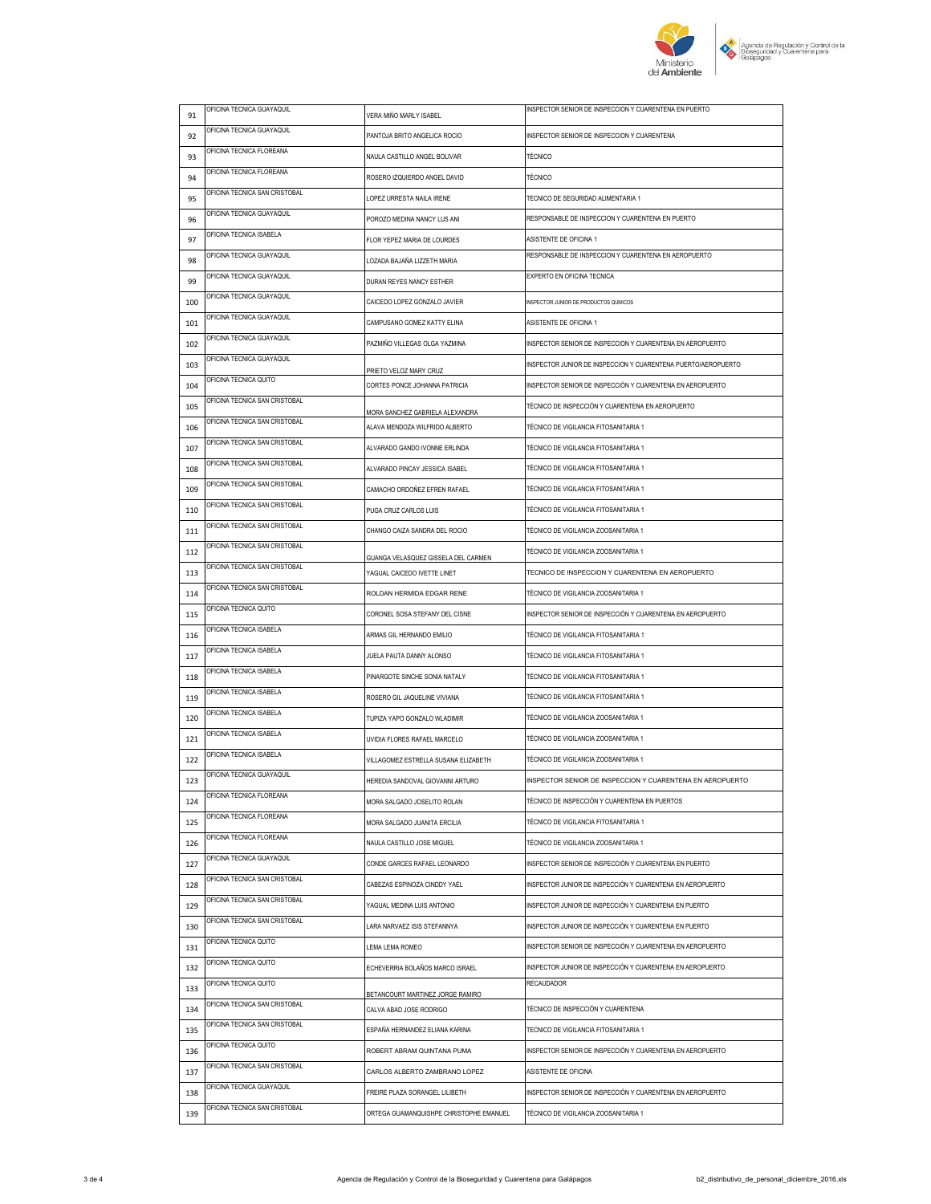

| 91  | OFICINA TECNICA GUAYAQUIL     | VERA MIÑO MARLY ISABEL                                               | INSPECTOR SENIOR DE INSPECCION Y CUARENTENA EN PUERTO                   |
|-----|-------------------------------|----------------------------------------------------------------------|-------------------------------------------------------------------------|
| 92  | OFICINA TECNICA GUAYAQUIL     | PANTOJA BRITO ANGELICA ROCIO                                         | INSPECTOR SENIOR DE INSPECCION Y CUARENTENA                             |
| 93  | OFICINA TECNICA FLOREANA      | NAULA CASTILLO ANGEL BOLIVAR                                         | <b>TÉCNICO</b>                                                          |
| 94  | OFICINA TECNICA FLOREANA      | ROSERO IZQUIERDO ANGEL DAVID                                         | <b>TÉCNICO</b>                                                          |
| 95  | OFICINA TECNICA SAN CRISTOBAL | LOPEZ URRESTA NAILA IRENE                                            | TECNICO DE SEGURIDAD ALIMENTARIA 1                                      |
| 96  | OFICINA TECNICA GUAYAQUIL     | POROZO MEDINA NANCY LUS ANI                                          | RESPONSABLE DE INSPECCION Y CUARENTENA EN PUERTO                        |
| 97  | OFICINA TECNICA ISABELA       | FLOR YEPEZ MARIA DE LOURDES                                          | ASISTENTE DE OFICINA 1                                                  |
| 98  | OFICINA TECNICA GUAYAQUIL     | LOZADA BAJAÑA LIZZETH MARIA                                          | RESPONSABLE DE INSPECCION Y CUARENTENA EN AEROPUERTO                    |
| 99  | OFICINA TECNICA GUAYAQUIL     | DURAN REYES NANCY ESTHER                                             | EXPERTO EN OFICINA TECNICA                                              |
| 100 | OFICINA TECNICA GUAYAQUIL     | CAICEDO LOPEZ GONZALO JAVIER                                         | INSPECTOR JUNIOR DE PRODUCTOS QUMICOS                                   |
| 101 | OFICINA TECNICA GUAYAQUIL     | CAMPUSANO GOMEZ KATTY ELINA                                          | ASISTENTE DE OFICINA 1                                                  |
| 102 | OFICINA TECNICA GUAYAQUIL     | PAZMIÑO VILLEGAS OLGA YAZMINA                                        | INSPECTOR SENIOR DE INSPECCION Y CUARENTENA EN AEROPUERTO               |
| 103 | OFICINA TECNICA GUAYAQUIL     |                                                                      | INSPECTOR JUNIOR DE INSPECCION Y CUARENTENA PUERTO/AEROPUERTO           |
| 104 | OFICINA TECNICA QUITO         | PRIETO VELOZ MARY CRUZ<br>CORTES PONCE JOHANNA PATRICIA              | INSPECTOR SENIOR DE INSPECCIÓN Y CUARENTENA EN AEROPUERTO               |
| 105 | OFICINA TECNICA SAN CRISTOBAL |                                                                      | TÉCNICO DE INSPECCIÓN Y CUARENTENA EN AEROPUERTO                        |
| 106 | OFICINA TECNICA SAN CRISTOBAL | MORA SANCHEZ GABRIELA ALEXANDRA<br>ALAVA MENDOZA WILFRIDO ALBERTO    | TÉCNICO DE VIGILANCIA FITOSANITARIA 1                                   |
| 107 | OFICINA TECNICA SAN CRISTOBAL | ALVARADO GANDO IVONNE ERLINDA                                        | TÉCNICO DE VIGILANCIA FITOSANITARIA 1                                   |
| 108 | OFICINA TECNICA SAN CRISTOBAL | ALVARADO PINCAY JESSICA ISABEL                                       | TÉCNICO DE VIGILANCIA FITOSANITARIA 1                                   |
| 109 | OFICINA TECNICA SAN CRISTOBAL | CAMACHO ORDOÑEZ EFREN RAFAEL                                         | TÉCNICO DE VIGILANCIA FITOSANITARIA 1                                   |
| 110 | OFICINA TECNICA SAN CRISTOBAL | PUGA CRUZ CARLOS LUIS                                                | TÉCNICO DE VIGILANCIA FITOSANITARIA 1                                   |
| 111 | OFICINA TECNICA SAN CRISTOBAL | CHANGO CAIZA SANDRA DEL ROCIO                                        | TÉCNICO DE VIGILANCIA ZOOSANITARIA 1                                    |
| 112 | OFICINA TECNICA SAN CRISTOBAL |                                                                      | TÉCNICO DE VIGILANCIA ZOOSANITARIA 1                                    |
| 113 | OFICINA TECNICA SAN CRISTOBAL | GUANGA VELASQUEZ GISSELA DEL CARMEN<br>YAGUAL CAICEDO IVETTE LINET   | TECNICO DE INSPECCION Y CUARENTENA EN AEROPUERTO                        |
| 114 | OFICINA TECNICA SAN CRISTOBAL | ROLDAN HERMIDA EDGAR RENE                                            | TÉCNICO DE VIGILANCIA ZOOSANITARIA 1                                    |
| 115 | OFICINA TECNICA QUITO         | CORONEL SOSA STEFANY DEL CISNE                                       | INSPECTOR SENIOR DE INSPECCIÓN Y CUARENTENA EN AEROPUERTO               |
| 116 | OFICINA TECNICA ISABELA       | ARMAS GIL HERNANDO EMILIO                                            | TÉCNICO DE VIGILANCIA FITOSANITARIA 1                                   |
| 117 | OFICINA TECNICA ISABELA       | JUELA PAUTA DANNY ALONSO                                             | TÉCNICO DE VIGILANCIA FITOSANITARIA 1                                   |
| 118 | OFICINA TECNICA ISABELA       | PINARGOTE SINCHE SONIA NATALY                                        | TÉCNICO DE VIGILANCIA FITOSANITARIA 1                                   |
| 119 | OFICINA TECNICA ISABELA       |                                                                      | TÉCNICO DE VIGILANCIA FITOSANITARIA 1                                   |
|     | OFICINA TECNICA ISABELA       | ROSERO GIL JAQUELINE VIVIANA                                         | TÉCNICO DE VIGILANCIA ZOOSANITARIA 1                                    |
| 120 | OFICINA TECNICA ISABELA       | TUPIZA YAPO GONZALO WLADIMIR                                         | TÉCNICO DE VIGILANCIA ZOOSANITARIA 1                                    |
| 121 | OFICINA TECNICA ISABELA       | UVIDIA FLORES RAFAEL MARCELO<br>VILLAGOMEZ ESTRELLA SUSANA ELIZABETH | TÉCNICO DE VIGILANCIA ZOOSANITARIA 1                                    |
| 122 | OFICINA TECNICA GUAYAQUIL     |                                                                      |                                                                         |
| 123 | OFICINA TECNICA FLOREANA      | HEREDIA SANDOVAL GIOVANNI ARTURO                                     | INSPECTOR SENIOR DE INSPECCION Y CUARENTENA EN AEROPUERTO               |
| 124 | OFICINA TECNICA FLOREANA      | MORA SALGADO JOSELITO ROLAN                                          | TÉCNICO DE INSPECCIÓN Y CUARENTENA EN PUERTOS                           |
| 125 | OFICINA TECNICA FLOREANA      | MORA SALGADO JUANITA ERCILIA                                         | TÉCNICO DE VIGILANCIA FITOSANITARIA 1                                   |
| 126 | OFICINA TECNICA GUAYAQUIL     | NAULA CASTILLO JOSE MIGUEL                                           | TÉCNICO DE VIGILANCIA ZOOSANITARIA 1                                    |
| 127 | OFICINA TECNICA SAN CRISTOBAL | CONDE GARCES RAFAEL LEONARDO                                         | INSPECTOR SENIOR DE INSPECCIÓN Y CUARENTENA EN PUERTO                   |
| 128 | OFICINA TECNICA SAN CRISTOBAL | CABEZAS ESPINOZA CINDDY YAEL                                         | INSPECTOR JUNIOR DE INSPECCIÓN Y CUARENTENA EN AEROPUERTO               |
| 129 | OFICINA TECNICA SAN CRISTOBAL | YAGUAL MEDINA LUIS ANTONIO                                           | INSPECTOR JUNIOR DE INSPECCIÓN Y CUARENTENA EN PUERTO                   |
| 130 | OFICINA TECNICA QUITO         | LARA NARVAEZ ISIS STEFANNYA                                          | INSPECTOR JUNIOR DE INSPECCIÓN Y CUARENTENA EN PUERTO                   |
| 131 | OFICINA TECNICA QUITO         | LEMA LEMA ROMEO                                                      | INSPECTOR SENIOR DE INSPECCIÓN Y CUARENTENA EN AEROPUERTO               |
| 132 | OFICINA TECNICA QUITO         | ECHEVERRIA BOLAÑOS MARCO ISRAEL                                      | INSPECTOR JUNIOR DE INSPECCIÓN Y CUARENTENA EN AEROPUERTO<br>RECAUDADOR |
| 133 | OFICINA TECNICA SAN CRISTOBAL | BETANCOURT MARTINEZ JORGE RAMIRO                                     |                                                                         |
| 134 | OFICINA TECNICA SAN CRISTOBAL | CALVA ABAD JOSE RODRIGO                                              | TÉCNICO DE INSPECCIÓN Y CUARENTENA                                      |
| 135 | OFICINA TECNICA QUITO         | ESPAÑA HERNANDEZ ELIANA KARINA                                       | TECNICO DE VIGILANCIA FITOSANITARIA 1                                   |
| 136 | OFICINA TECNICA SAN CRISTOBAL | ROBERT ABRAM QUINTANA PUMA                                           | INSPECTOR SENIOR DE INSPECCIÓN Y CUARENTENA EN AEROPUERTO               |
| 137 |                               | CARLOS ALBERTO ZAMBRANO LOPEZ                                        | ASISTENTE DE OFICINA                                                    |
| 138 | OFICINA TECNICA GUAYAQUIL     | FREIRE PLAZA SORANGEL LILIBETH                                       | INSPECTOR SENIOR DE INSPECCIÓN Y CUARENTENA EN AEROPUERTO               |
| 139 | OFICINA TECNICA SAN CRISTOBAL | ORTEGA GUAMANQUISHPE CHRISTOPHE EMANUEL                              | TÉCNICO DE VIGILANCIA ZOOSANITARIA 1                                    |